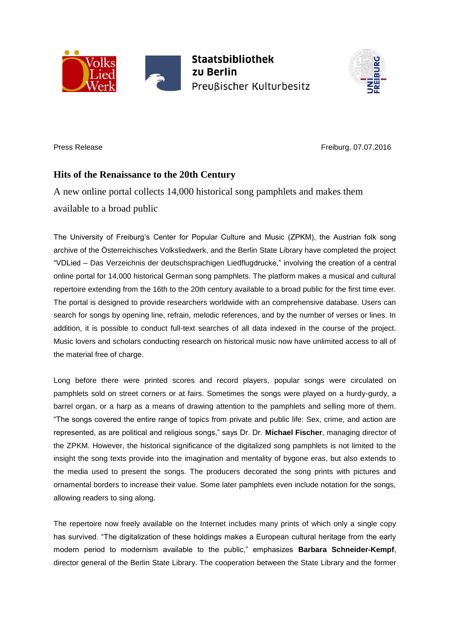



Press Release **Freiburg, 07.07.2016** 

## **Hits of the Renaissance to the 20th Century**

A new online portal collects 14,000 historical song pamphlets and makes them available to a broad public

The University of Freiburg's Center for Popular Culture and Music (ZPKM), the Austrian folk song archive of the Österreichisches Volksliedwerk, and the Berlin State Library have completed the project "VDLied – Das Verzeichnis der deutschsprachigen Liedflugdrucke," involving the creation of a central online portal for 14,000 historical German song pamphlets. The platform makes a musical and cultural repertoire extending from the 16th to the 20th century available to a broad public for the first time ever. The portal is designed to provide researchers worldwide with an comprehensive database. Users can search for songs by opening line, refrain, melodic references, and by the number of verses or lines. In addition, it is possible to conduct full-text searches of all data indexed in the course of the project. Music lovers and scholars conducting research on historical music now have unlimited access to all of the material free of charge.

Long before there were printed scores and record players, popular songs were circulated on pamphlets sold on street corners or at fairs. Sometimes the songs were played on a hurdy-gurdy, a barrel organ, or a harp as a means of drawing attention to the pamphlets and selling more of them. "The songs covered the entire range of topics from private and public life: Sex, crime, and action are represented, as are political and religious songs," says Dr. Dr. **Michael Fischer**, managing director of the ZPKM. However, the historical significance of the digitalized song pamphlets is not limited to the insight the song texts provide into the imagination and mentality of bygone eras, but also extends to the media used to present the songs. The producers decorated the song prints with pictures and ornamental borders to increase their value. Some later pamphlets even include notation for the songs, allowing readers to sing along.

The repertoire now freely available on the Internet includes many prints of which only a single copy has survived. "The digitalization of these holdings makes a European cultural heritage from the early modern period to modernism available to the public," emphasizes **Barbara Schneider-Kempf**, director general of the Berlin State Library. The cooperation between the State Library and the former